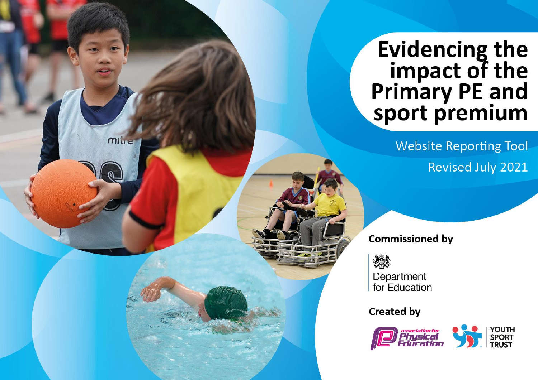## Evidencing the<br>
impact of the<br>
Primary PE and<br>
sport premium

**Website Reporting Tool** Revised July 2021

**Commissioned by** 

怨

**MILLE** 

Department for Education

**Created by** 

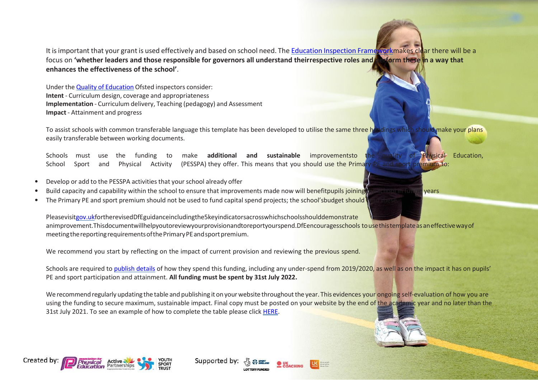It is important that your grant is used effectively and based on school need. The Education Inspection Frame workmakes clear there will be a focus on **'whether leaders and those responsible for governors all understand theirrespective roles and perform these in a way that enhances the effectiveness of the school'**.

Under the Quality of [Education](https://assets.publishing.service.gov.uk/government/uploads/system/uploads/attachment_data/file/843108/School_inspection_handbook_-_section_5.pdf) Ofsted inspectors consider: **Intent** - Curriculum design, coverage and appropriateness **Implementation** - Curriculum delivery, Teaching (pedagogy) and Assessment **Impact** - Attainment and progress

To assist schools with common transferable language this template has been developed to utilise the same three headings which should make your plans easily transferable between working documents.

Schools must use the funding to make **additional and sustainable** improvementsto the quality of Physical Education, School Sport and Physical Activity (PESSPA) they offer. This means that you should use the Primary PE and sport premium to:

- Develop or add to the PESSPA activities that yourschool already offer
- Build capacity and capability within the school to ensure that improvements made now will benefitpupils joining the school in the school in function of the school in future wears.
- The Primary PE and sport premium should not be used to fund capital spend projects; the school'sbudget should

Pleasevisi[tgov.ukf](https://www.gov.uk/guidance/pe-and-sport-premium-for-primary-schools)ortherevisedDfEguidanceincludingthe5keyindicatorsacrosswhichschoolsshoulddemonstrate animprovement.Thisdocumentwillhelpyoutoreviewyourprovisionandtoreportyourspend.DfEencouragesschools to use this template as an effective way of meeting the reporting requirements of the Primary PE and sport premium.

We recommend you start by reflecting on the impact of current provision and reviewing the previous spend.

Schools are required to [publish details](https://www.gov.uk/guidance/what-maintained-schools-must-publish-online#pe-and-sport-premium-for-primary-schools) of how they spend this funding, including any under-spend from 2019/2020, as well as on the impact it has on pupils' PE and sport participation and attainment. **All funding must be spent by 31st July 2022.**

We recommend regularly updating the table and publishing it on your website throughout the year. This evidences your ongoing self-evaluation of how you are using the funding to secure maximum, sustainable impact. Final copy must be posted on your website by the end of the academic year and no later than the 31st July 2021. To see an example of how to complete the table please click [HERE.](http://www.afpe.org.uk/physical-education/wp-content/uploads/afPE-Example-Template-Indicator-2018-Final.pdf)



Supported by:



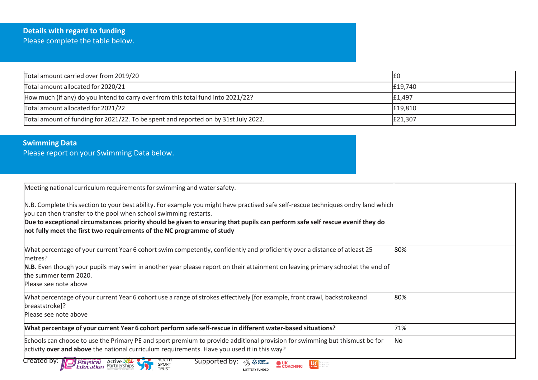## **Details with regard to funding** Please complete the table below.

| Total amount carried over from 2019/20                                              |         |
|-------------------------------------------------------------------------------------|---------|
| Total amount allocated for 2020/21                                                  | £19,740 |
| How much (if any) do you intend to carry over from this total fund into 2021/22?    | £1,497  |
| Total amount allocated for 2021/22                                                  | £19,810 |
| Total amount of funding for 2021/22. To be spent and reported on by 31st July 2022. | £21,307 |

## **Swimming Data**

Please report on your Swimming Data below.

| Meeting national curriculum requirements for swimming and water safety.                                                                                                                                                                                                                                                                                                                                           |           |
|-------------------------------------------------------------------------------------------------------------------------------------------------------------------------------------------------------------------------------------------------------------------------------------------------------------------------------------------------------------------------------------------------------------------|-----------|
| N.B. Complete this section to your best ability. For example you might have practised safe self-rescue techniques ondry land which<br>you can then transfer to the pool when school swimming restarts.<br>Due to exceptional circumstances priority should be given to ensuring that pupils can perform safe self rescue evenif they do<br>not fully meet the first two requirements of the NC programme of study |           |
| What percentage of your current Year 6 cohort swim competently, confidently and proficiently over a distance of atleast 25<br>metres?                                                                                                                                                                                                                                                                             | 80%       |
| N.B. Even though your pupils may swim in another year please report on their attainment on leaving primary schoolat the end of<br>the summer term 2020.<br>Please see note above                                                                                                                                                                                                                                  |           |
| What percentage of your current Year 6 cohort use a range of strokes effectively [for example, front crawl, backstrokeand<br>breaststroke]?<br>Please see note above                                                                                                                                                                                                                                              | 80%       |
| What percentage of your current Year 6 cohort perform safe self-rescue in different water-based situations?                                                                                                                                                                                                                                                                                                       | 71%       |
| Schools can choose to use the Primary PE and sport premium to provide additional provision for swimming but thismust be for<br>activity over and above the national curriculum requirements. Have you used it in this way?                                                                                                                                                                                        | <b>No</b> |
| Created by:<br>Supported by:<br>Physical Active<br>$\sqrt{\omega}$ $\Omega$ sport<br>$\mathsf{U}\mathsf{C}_{\mathsf{active}}$<br>COACHING<br>SPORT<br><b>TRUST</b><br><b>LOTTERY FUNDED</b>                                                                                                                                                                                                                       |           |

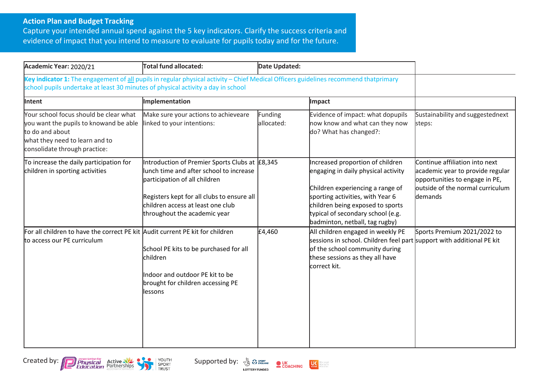## **Action Plan and Budget Tracking**

Capture your intended annual spend against the 5 key indicators. Clarify the success criteria and evidence of impact that you intend to measure to evaluate for pupils today and for the future.

| Academic Year: 2020/21                                                                                                                                                                                                   | Total fund allocated:                                                                                                                                                                                                                         | Date Updated:                |                                                                                                                                                                                                                                                            |                                                                                                                                                             |
|--------------------------------------------------------------------------------------------------------------------------------------------------------------------------------------------------------------------------|-----------------------------------------------------------------------------------------------------------------------------------------------------------------------------------------------------------------------------------------------|------------------------------|------------------------------------------------------------------------------------------------------------------------------------------------------------------------------------------------------------------------------------------------------------|-------------------------------------------------------------------------------------------------------------------------------------------------------------|
| Key indicator 1: The engagement of all pupils in regular physical activity - Chief Medical Officers guidelines recommend thatprimary<br>school pupils undertake at least 30 minutes of physical activity a day in school |                                                                                                                                                                                                                                               |                              |                                                                                                                                                                                                                                                            |                                                                                                                                                             |
| Intent                                                                                                                                                                                                                   | Implementation                                                                                                                                                                                                                                |                              | Impact                                                                                                                                                                                                                                                     |                                                                                                                                                             |
| Your school focus should be clear what<br>you want the pupils to knowand be able<br>to do and about<br>what they need to learn and to<br>consolidate through practice:                                                   | Make sure your actions to achieveare<br>linked to your intentions:                                                                                                                                                                            | <b>Funding</b><br>allocated: | Evidence of impact: what dopupils<br>now know and what can they now<br>do? What has changed?:                                                                                                                                                              | Sustainability and suggestednext<br>steps:                                                                                                                  |
| To increase the daily participation for<br>children in sporting activities                                                                                                                                               | Introduction of Premier Sports Clubs at E8,345<br>lunch time and after school to increase<br>participation of all children<br>Registers kept for all clubs to ensure all<br>children access at least one club<br>throughout the academic year |                              | Increased proportion of children<br>engaging in daily physical activity<br>Children experiencing a range of<br>sporting activities, with Year 6<br>children being exposed to sports<br>typical of secondary school (e.g.<br>badminton, netball, tag rugby) | Continue affiliation into next<br>academic year to provide regular<br>opportunities to engage in PE,<br>outside of the normal curriculum<br><b>d</b> emands |
| For all children to have the correct PE kit Audit current PE kit for children<br>to access our PE curriculum                                                                                                             | School PE kits to be purchased for all<br>children<br>Indoor and outdoor PE kit to be<br>brought for children accessing PE<br>llessons                                                                                                        | £4,460                       | All children engaged in weekly PE<br>sessions in school. Children feel part support with additional PE kit<br>of the school community during<br>these sessions as they all have<br>correct kit.                                                            | Sports Premium 2021/2022 to                                                                                                                                 |







**LOTTERY FUNDED**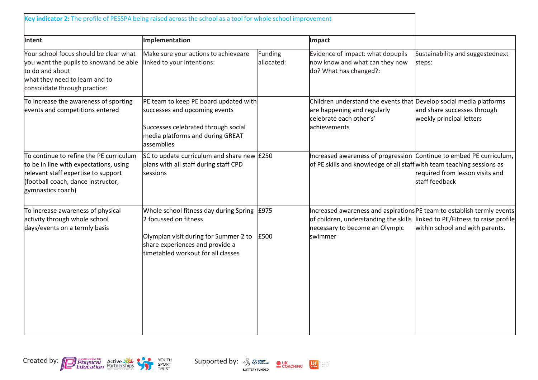| Key indicator 2: The profile of PESSPA being raised across the school as a tool for whole school improvement                                                                        |                                                                                                                                                                                          |                       |                                                                                                                                                              |                                                                          |  |
|-------------------------------------------------------------------------------------------------------------------------------------------------------------------------------------|------------------------------------------------------------------------------------------------------------------------------------------------------------------------------------------|-----------------------|--------------------------------------------------------------------------------------------------------------------------------------------------------------|--------------------------------------------------------------------------|--|
| Intent                                                                                                                                                                              | Implementation                                                                                                                                                                           |                       | Impact                                                                                                                                                       |                                                                          |  |
| Your school focus should be clear what<br>you want the pupils to knowand be able<br>to do and about<br>what they need to learn and to<br>consolidate through practice:              | Make sure your actions to achieveare<br>linked to your intentions:                                                                                                                       | Funding<br>allocated: | Evidence of impact: what dopupils<br>now know and what can they now<br>do? What has changed?:                                                                | Sustainability and suggestednext<br>steps:                               |  |
| To increase the awareness of sporting<br>events and competitions entered                                                                                                            | PE team to keep PE board updated with<br>successes and upcoming events<br>Successes celebrated through social<br>media platforms and during GREAT<br>assemblies                          |                       | Children understand the events that Develop social media platforms<br>are happening and regularly<br>celebrate each other's'<br>achievements                 | and share successes through<br>weekly principal letters                  |  |
| To continue to refine the PE curriculum<br>to be in line with expectations, using<br>relevant staff expertise to support<br>(football coach, dance instructor,<br>gymnastics coach) | SC to update curriculum and share new $\text{\pounds}250$<br>plans with all staff during staff CPD<br>sessions                                                                           |                       | Increased awareness of progression Continue to embed PE curriculum,<br>of PE skills and knowledge of all staffwith team teaching sessions as                 | required from lesson visits and<br>staff feedback                        |  |
| To increase awareness of physical<br>activity through whole school<br>days/events on a termly basis                                                                                 | Whole school fitness day during Spring $E975$<br>2 focussed on fitness<br>Olympian visit during for Summer 2 to<br>share experiences and provide a<br>timetabled workout for all classes | £500                  | Increased awareness and aspirations PE team to establish termly events<br>of children, understanding the skills<br>necessary to become an Olympic<br>swimmer | linked to PE/Fitness to raise profile<br>within school and with parents. |  |



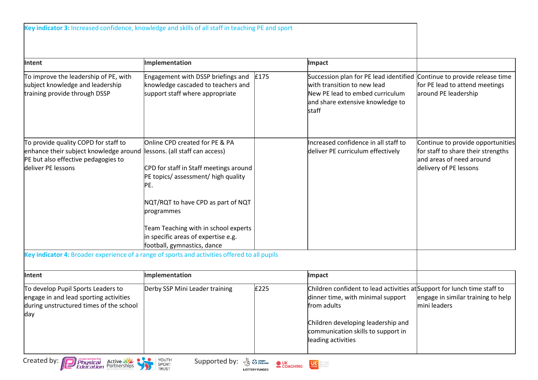| Intent                                                                                                                                                                                                                                       | Implementation                                                                                                                                                                                                                                                                                                             |      | Impact                                                                                                                                                                                                                         |                                                                                                                               |
|----------------------------------------------------------------------------------------------------------------------------------------------------------------------------------------------------------------------------------------------|----------------------------------------------------------------------------------------------------------------------------------------------------------------------------------------------------------------------------------------------------------------------------------------------------------------------------|------|--------------------------------------------------------------------------------------------------------------------------------------------------------------------------------------------------------------------------------|-------------------------------------------------------------------------------------------------------------------------------|
| To improve the leadership of PE, with<br>subject knowledge and leadership<br>training provide through DSSP                                                                                                                                   | Engagement with DSSP briefings and<br>knowledge cascaded to teachers and<br>support staff where appropriate                                                                                                                                                                                                                | £175 | Succession plan for PE lead identified<br>with transition to new lead<br>New PE lead to embed curriculum<br>and share extensive knowledge to<br>staff                                                                          | Continue to provide release time<br>for PE lead to attend meetings<br>around PE leadership                                    |
| To provide quality COPD for staff to<br>enhance their subject knowledge around<br>PE but also effective pedagogies to<br>deliver PE lessons<br>Key indicator 4: Broader experience of a range of sports and activities offered to all pupils | Online CPD created for PE & PA<br>lessons. (all staff can access)<br>CPD for staff in Staff meetings around<br>PE topics/assessment/ high quality<br>PE.<br>NQT/RQT to have CPD as part of NQT<br>programmes<br>Team Teaching with in school experts<br>in specific areas of expertise e.g.<br>football, gymnastics, dance |      | Increased confidence in all staff to<br>deliver PE curriculum effectively                                                                                                                                                      | Continue to provide opportunities<br>for staff to share their strengths<br>and areas of need around<br>delivery of PE lessons |
| Intent                                                                                                                                                                                                                                       | Implementation                                                                                                                                                                                                                                                                                                             |      | Impact                                                                                                                                                                                                                         |                                                                                                                               |
| To develop Pupil Sports Leaders to<br>engage in and lead sporting activities<br>during unstructured times of the school<br>day                                                                                                               | Derby SSP Mini Leader training                                                                                                                                                                                                                                                                                             | £225 | Children confident to lead activities at Support for lunch time staff to<br>dinner time, with minimal support<br>from adults<br>Children developing leadership and<br>communication skills to support in<br>leading activities | engage in similar training to help<br>mini leaders                                                                            |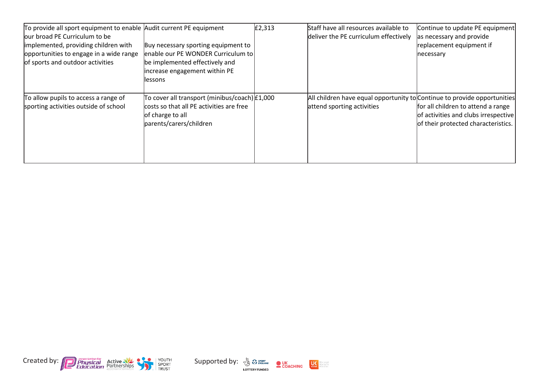| To provide all sport equipment to enable Audit current PE equipment |                                                 | E2,313 | Staff have all resources available to                                    | Continue to update PE equipment      |
|---------------------------------------------------------------------|-------------------------------------------------|--------|--------------------------------------------------------------------------|--------------------------------------|
| our broad PE Curriculum to be                                       |                                                 |        | deliver the PE curriculum effectively                                    | as necessary and provide             |
| implemented, providing children with                                | Buy necessary sporting equipment to             |        |                                                                          | replacement equipment if             |
| opportunities to engage in a wide range                             | enable our PE WONDER Curriculum to              |        |                                                                          | necessary                            |
| of sports and outdoor activities                                    | be implemented effectively and                  |        |                                                                          |                                      |
|                                                                     | increase engagement within PE                   |        |                                                                          |                                      |
|                                                                     | llessons                                        |        |                                                                          |                                      |
|                                                                     |                                                 |        |                                                                          |                                      |
| To allow pupils to access a range of                                | To cover all transport (minibus/coach) $E1,000$ |        | All children have equal opportunity to Continue to provide opportunities |                                      |
| sporting activities outside of school                               | costs so that all PE activities are free        |        | attend sporting activities                                               | for all children to attend a range   |
|                                                                     | of charge to all                                |        |                                                                          | of activities and clubs irrespective |
|                                                                     | parents/carers/children                         |        |                                                                          | of their protected characteristics.  |
|                                                                     |                                                 |        |                                                                          |                                      |
|                                                                     |                                                 |        |                                                                          |                                      |
|                                                                     |                                                 |        |                                                                          |                                      |
|                                                                     |                                                 |        |                                                                          |                                      |